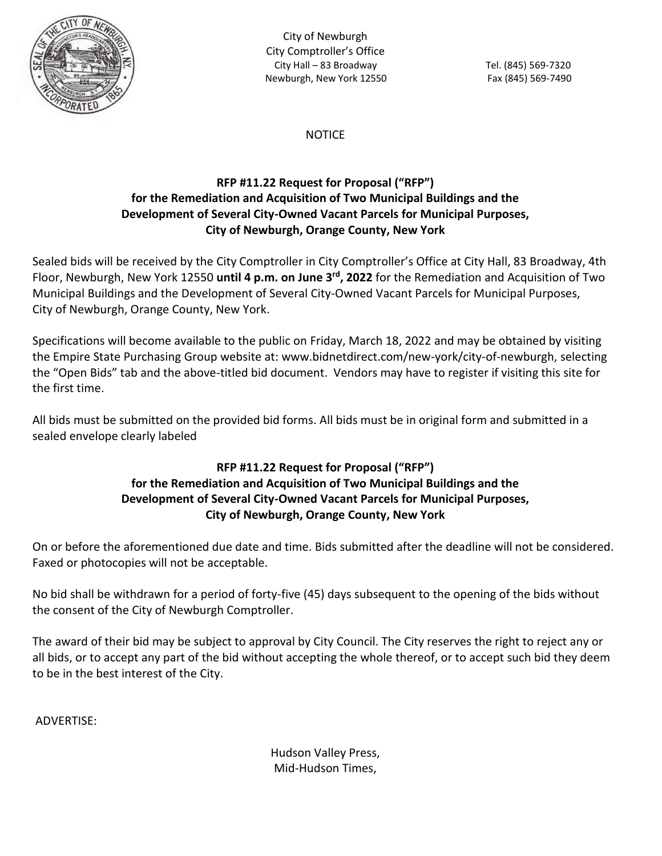

City of Newburgh City Comptroller's Office City Hall – 83 Broadway Tel. (845) 569-7320 Newburgh, New York 12550 Fax (845) 569-7490

### **NOTICE**

# **RFP #11.22 Request for Proposal ("RFP") for the Remediation and Acquisition of Two Municipal Buildings and the Development of Several City-Owned Vacant Parcels for Municipal Purposes, City of Newburgh, Orange County, New York**

Sealed bids will be received by the City Comptroller in City Comptroller's Office at City Hall, 83 Broadway, 4th Floor, Newburgh, New York 12550 **until 4 p.m. on June 3rd, 2022** for the Remediation and Acquisition of Two Municipal Buildings and the Development of Several City-Owned Vacant Parcels for Municipal Purposes, City of Newburgh, Orange County, New York.

Specifications will become available to the public on Friday, March 18, 2022 and may be obtained by visiting the Empire State Purchasing Group website at: www.bidnetdirect.com/new-york/city-of-newburgh, selecting the "Open Bids" tab and the above-titled bid document. Vendors may have to register if visiting this site for the first time.

All bids must be submitted on the provided bid forms. All bids must be in original form and submitted in a sealed envelope clearly labeled

### **RFP #11.22 Request for Proposal ("RFP") for the Remediation and Acquisition of Two Municipal Buildings and the Development of Several City-Owned Vacant Parcels for Municipal Purposes, City of Newburgh, Orange County, New York**

On or before the aforementioned due date and time. Bids submitted after the deadline will not be considered. Faxed or photocopies will not be acceptable.

No bid shall be withdrawn for a period of forty-five (45) days subsequent to the opening of the bids without the consent of the City of Newburgh Comptroller.

The award of their bid may be subject to approval by City Council. The City reserves the right to reject any or all bids, or to accept any part of the bid without accepting the whole thereof, or to accept such bid they deem to be in the best interest of the City.

ADVERTISE:

Hudson Valley Press, Mid-Hudson Times,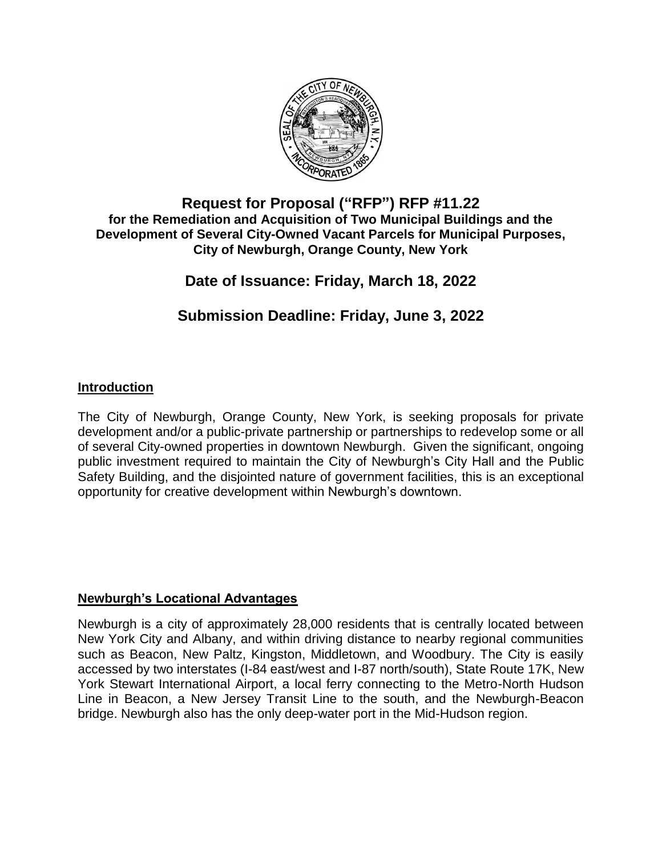

# **Request for Proposal ("RFP") RFP #11.22 for the Remediation and Acquisition of Two Municipal Buildings and the Development of Several City-Owned Vacant Parcels for Municipal Purposes, City of Newburgh, Orange County, New York**

# **Date of Issuance: Friday, March 18, 2022**

# **Submission Deadline: Friday, June 3, 2022**

# **Introduction**

The City of Newburgh, Orange County, New York, is seeking proposals for private development and/or a public-private partnership or partnerships to redevelop some or all of several City-owned properties in downtown Newburgh. Given the significant, ongoing public investment required to maintain the City of Newburgh's City Hall and the Public Safety Building, and the disjointed nature of government facilities, this is an exceptional opportunity for creative development within Newburgh's downtown.

# **Newburgh's Locational Advantages**

Newburgh is a city of approximately 28,000 residents that is centrally located between New York City and Albany, and within driving distance to nearby regional communities such as Beacon, New Paltz, Kingston, Middletown, and Woodbury. The City is easily accessed by two interstates (I-84 east/west and I-87 north/south), State Route 17K, New York Stewart International Airport, a local ferry connecting to the Metro-North Hudson Line in Beacon, a New Jersey Transit Line to the south, and the Newburgh-Beacon bridge. Newburgh also has the only deep-water port in the Mid-Hudson region.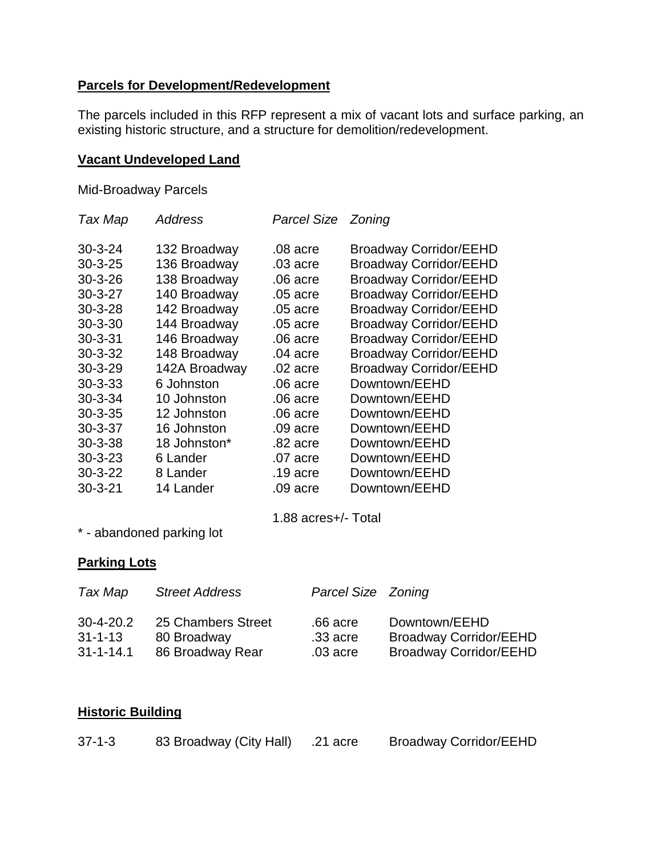# **Parcels for Development/Redevelopment**

The parcels included in this RFP represent a mix of vacant lots and surface parking, an existing historic structure, and a structure for demolition/redevelopment.

### **Vacant Undeveloped Land**

Mid-Broadway Parcels

| Tax Map       | Address       | Parcel Size Zoning |                               |
|---------------|---------------|--------------------|-------------------------------|
| $30 - 3 - 24$ | 132 Broadway  | .08 acre           | <b>Broadway Corridor/EEHD</b> |
| $30 - 3 - 25$ | 136 Broadway  | .03 acre           | <b>Broadway Corridor/EEHD</b> |
| $30 - 3 - 26$ | 138 Broadway  | $.06$ acre         | <b>Broadway Corridor/EEHD</b> |
| $30 - 3 - 27$ | 140 Broadway  | .05 acre           | <b>Broadway Corridor/EEHD</b> |
| $30 - 3 - 28$ | 142 Broadway  | .05 acre           | <b>Broadway Corridor/EEHD</b> |
| $30 - 3 - 30$ | 144 Broadway  | .05 acre           | <b>Broadway Corridor/EEHD</b> |
| $30 - 3 - 31$ | 146 Broadway  | $.06$ acre         | <b>Broadway Corridor/EEHD</b> |
| $30 - 3 - 32$ | 148 Broadway  | $.04$ acre         | <b>Broadway Corridor/EEHD</b> |
| $30 - 3 - 29$ | 142A Broadway | $.02$ acre         | <b>Broadway Corridor/EEHD</b> |
| $30 - 3 - 33$ | 6 Johnston    | $.06$ acre         | Downtown/EEHD                 |
| $30 - 3 - 34$ | 10 Johnston   | $.06$ acre         | Downtown/EEHD                 |
| $30 - 3 - 35$ | 12 Johnston   | $.06$ acre         | Downtown/EEHD                 |
| $30 - 3 - 37$ | 16 Johnston   | .09 acre           | Downtown/EEHD                 |
| $30 - 3 - 38$ | 18 Johnston*  | $.82$ acre         | Downtown/EEHD                 |
| $30 - 3 - 23$ | 6 Lander      | .07 acre           | Downtown/EEHD                 |
| $30 - 3 - 22$ | 8 Lander      | $.19$ acre         | Downtown/EEHD                 |
| $30 - 3 - 21$ | 14 Lander     | $.09$ acre         | Downtown/EEHD                 |
|               |               |                    |                               |

1.88 acres+/- Total

\* - abandoned parking lot

### **Parking Lots**

| Tax Map                          | <b>Street Address</b>             | Parcel Size Zoning     |                                                |
|----------------------------------|-----------------------------------|------------------------|------------------------------------------------|
| $30 - 4 - 20.2$<br>$31 - 1 - 13$ | 25 Chambers Street<br>80 Broadway | .66 acre<br>$.33$ acre | Downtown/EEHD<br><b>Broadway Corridor/EEHD</b> |
| $31 - 1 - 14.1$                  | 86 Broadway Rear                  | .03 acre               | <b>Broadway Corridor/EEHD</b>                  |

### **Historic Building**

| $37 - 1 - 3$<br>83 Broadway (City Hall) | $.21$ acre | <b>Broadway Corridor/EEHD</b> |
|-----------------------------------------|------------|-------------------------------|
|-----------------------------------------|------------|-------------------------------|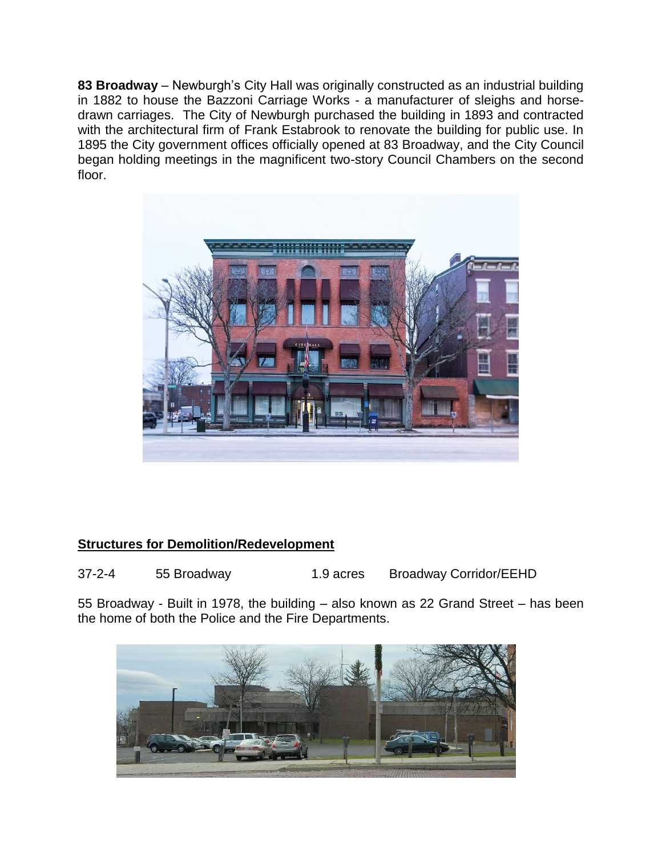**83 Broadway** – Newburgh's City Hall was originally constructed as an industrial building in 1882 to house the Bazzoni Carriage Works - a manufacturer of sleighs and horsedrawn carriages. The City of Newburgh purchased the building in 1893 and contracted with the architectural firm of Frank Estabrook to renovate the building for public use. In 1895 the City government offices officially opened at 83 Broadway, and the City Council began holding meetings in the magnificent two-story Council Chambers on the second floor.



# **Structures for Demolition/Redevelopment**

37-2-4 55 Broadway 1.9 acres Broadway Corridor/EEHD

55 Broadway - Built in 1978, the building – also known as 22 Grand Street – has been the home of both the Police and the Fire Departments.

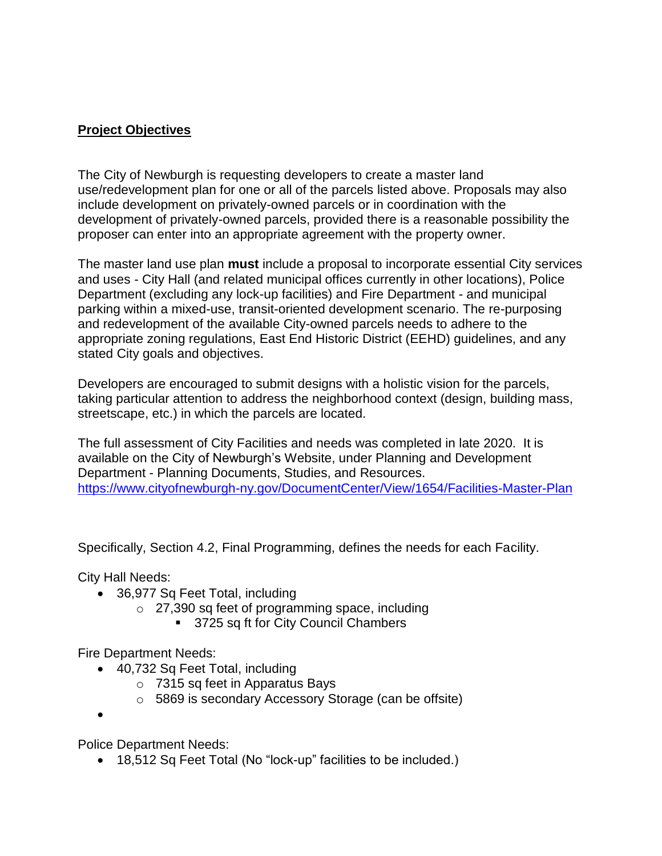# **Project Objectives**

The City of Newburgh is requesting developers to create a master land use/redevelopment plan for one or all of the parcels listed above. Proposals may also include development on privately-owned parcels or in coordination with the development of privately-owned parcels, provided there is a reasonable possibility the proposer can enter into an appropriate agreement with the property owner.

The master land use plan **must** include a proposal to incorporate essential City services and uses - City Hall (and related municipal offices currently in other locations), Police Department (excluding any lock-up facilities) and Fire Department - and municipal parking within a mixed-use, transit-oriented development scenario. The re-purposing and redevelopment of the available City-owned parcels needs to adhere to the appropriate zoning regulations, East End Historic District (EEHD) guidelines, and any stated City goals and objectives.

Developers are encouraged to submit designs with a holistic vision for the parcels, taking particular attention to address the neighborhood context (design, building mass, streetscape, etc.) in which the parcels are located.

The full assessment of City Facilities and needs was completed in late 2020. It is available on the City of Newburgh's Website, under Planning and Development Department - Planning Documents, Studies, and Resources. <https://www.cityofnewburgh-ny.gov/DocumentCenter/View/1654/Facilities-Master-Plan>

Specifically, Section 4.2, Final Programming, defines the needs for each Facility.

City Hall Needs:

- 36,977 Sq Feet Total, including
	- o 27,390 sq feet of programming space, including
		- 3725 sq ft for City Council Chambers

Fire Department Needs:

- 40,732 Sq Feet Total, including
	- o 7315 sq feet in Apparatus Bays
	- o 5869 is secondary Accessory Storage (can be offsite)

 $\bullet$ 

Police Department Needs:

18,512 Sq Feet Total (No "lock-up" facilities to be included.)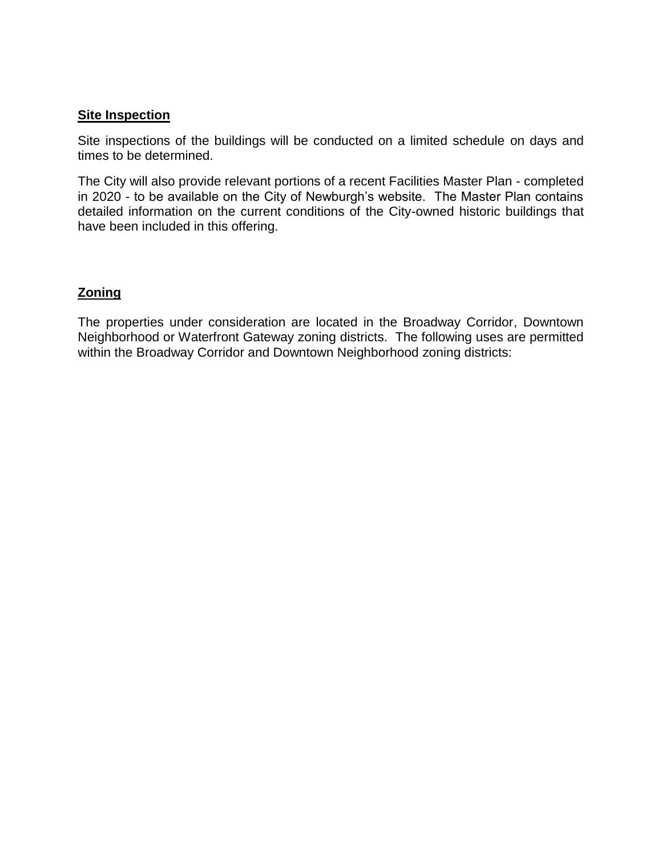### **Site Inspection**

Site inspections of the buildings will be conducted on a limited schedule on days and times to be determined.

The City will also provide relevant portions of a recent Facilities Master Plan - completed in 2020 - to be available on the City of Newburgh's website. The Master Plan contains detailed information on the current conditions of the City-owned historic buildings that have been included in this offering.

#### **Zoning**

The properties under consideration are located in the Broadway Corridor, Downtown Neighborhood or Waterfront Gateway zoning districts. The following uses are permitted within the Broadway Corridor and Downtown Neighborhood zoning districts: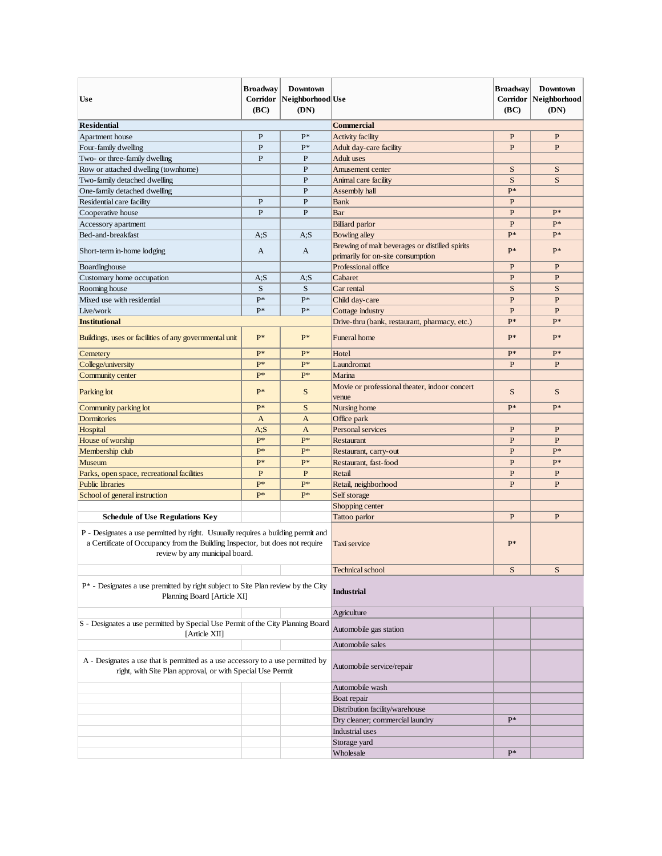| <b>Use</b>                                                                                                                                                                                                                                   | Broadway<br>Corridor<br>(BC) | <b>Downtown</b><br>Neighborhood Use<br>(DN) |                                                                                     | <b>Broadway</b><br>(BC) | Downtown<br>Corridor   Neighborhood<br>(DN) |
|----------------------------------------------------------------------------------------------------------------------------------------------------------------------------------------------------------------------------------------------|------------------------------|---------------------------------------------|-------------------------------------------------------------------------------------|-------------------------|---------------------------------------------|
| <b>Residential</b>                                                                                                                                                                                                                           |                              |                                             | <b>Commercial</b>                                                                   |                         |                                             |
| Apartment house                                                                                                                                                                                                                              | P                            | P*                                          | Activity facility                                                                   | P                       | P                                           |
| Four-family dwelling                                                                                                                                                                                                                         | $\mathbf{P}$                 | $P*$                                        | Adult day-care facility                                                             | $\mathbf{P}$            | P                                           |
| Two- or three-family dwelling                                                                                                                                                                                                                | $\mathbf{P}$                 | $\mathbf{P}$                                | Adult uses                                                                          |                         |                                             |
| Row or attached dwelling (townhome)                                                                                                                                                                                                          |                              | $\mathbf{P}$                                | Amusement center                                                                    | S                       | S                                           |
| Two-family detached dwelling                                                                                                                                                                                                                 |                              | $\mathbf{P}$                                | Animal care facility                                                                |                         | S                                           |
| One-family detached dwelling                                                                                                                                                                                                                 |                              | $\mathbf{P}$                                | Assembly hall                                                                       | $P*$                    |                                             |
| Residential care facility                                                                                                                                                                                                                    | $\mathbf{P}$                 | $\mathbf{P}$                                | <b>Bank</b>                                                                         | $\mathbf{P}$            |                                             |
| Cooperative house                                                                                                                                                                                                                            | $\mathbf{P}$                 | $\mathbf{P}$                                | Bar                                                                                 | P                       | $P*$                                        |
| Accessory apartment                                                                                                                                                                                                                          |                              |                                             | <b>Billiard</b> parlor                                                              | $\mathbf{P}$            | $P*$                                        |
| Bed-and-breakfast                                                                                                                                                                                                                            | A, S                         | A: S                                        | Bowling alley                                                                       | $P*$                    | $P*$                                        |
| Short-term in-home lodging                                                                                                                                                                                                                   | A                            | $\mathbf{A}$                                | Brewing of malt beverages or distilled spirits<br>primarily for on-site consumption | $P*$                    | $P*$                                        |
| Boardinghouse                                                                                                                                                                                                                                |                              |                                             | Professional office                                                                 | $\mathbf{P}$            | P                                           |
| Customary home occupation                                                                                                                                                                                                                    | A;S                          | A: S                                        | Cabaret                                                                             | P                       | P                                           |
| Rooming house                                                                                                                                                                                                                                | S                            | S                                           | Car rental                                                                          | S                       | S                                           |
| Mixed use with residential                                                                                                                                                                                                                   | $P*$                         | $P*$                                        | Child day-care                                                                      | $\mathbf{P}$            | P                                           |
| Live/work                                                                                                                                                                                                                                    | $P*$                         | $P*$                                        | Cottage industry                                                                    | $\mathbf{P}$            | P                                           |
| <b>Institutional</b>                                                                                                                                                                                                                         |                              |                                             | Drive-thru (bank, restaurant, pharmacy, etc.)                                       | P*                      | $P*$                                        |
| Buildings, uses or facilities of any governmental unit                                                                                                                                                                                       | $P*$                         | P*                                          | <b>Funeral</b> home                                                                 | $P*$                    | $P*$                                        |
| Cemetery                                                                                                                                                                                                                                     | $P*$                         | p*                                          | Hotel                                                                               | $P*$                    | p*                                          |
| College/university                                                                                                                                                                                                                           | P*                           | $P*$                                        | Laundromat                                                                          | $\mathbf{P}$            | P                                           |
| Community center                                                                                                                                                                                                                             | $P*$                         | $P^*$                                       | Marina                                                                              |                         |                                             |
| Parking lot                                                                                                                                                                                                                                  | $P*$                         | S                                           | Movie or professional theater, indoor concert<br>venue                              | S                       | S                                           |
| Community parking lot                                                                                                                                                                                                                        | $P*$                         | S                                           | Nursing home                                                                        | $P*$                    | $P*$                                        |
| <b>Dormitories</b>                                                                                                                                                                                                                           | $\mathbf{A}$                 | $\mathbf{A}$                                | Office park                                                                         |                         |                                             |
| Hospital                                                                                                                                                                                                                                     | A, S                         | $\mathbf{A}$                                | Personal services                                                                   | $\mathbf{P}$            | P                                           |
| House of worship                                                                                                                                                                                                                             | $P*$                         | $P*$                                        | Restaurant                                                                          | $\mathbf{P}$            | P                                           |
| Membership club                                                                                                                                                                                                                              | $P*$                         | $P*$                                        | Restaurant, carry-out                                                               | $\mathbf{P}$            | $P*$                                        |
| Museum                                                                                                                                                                                                                                       | $P*$                         | $P*$                                        | Restaurant, fast-food                                                               | $\mathbf{P}$            | P*                                          |
| Parks, open space, recreational facilities                                                                                                                                                                                                   | $\mathbf{P}$                 | $\mathbf{P}$                                | Retail                                                                              | $\mathbf{P}$            | P                                           |
| <b>Public libraries</b>                                                                                                                                                                                                                      | P*                           | p*                                          | Retail, neighborhood                                                                | $\mathbf{P}$            | P                                           |
| School of general instruction                                                                                                                                                                                                                | $P*$                         | $P*$                                        | Self storage                                                                        |                         |                                             |
|                                                                                                                                                                                                                                              |                              |                                             | Shopping center                                                                     |                         |                                             |
|                                                                                                                                                                                                                                              |                              |                                             | Tattoo parlor                                                                       | $\mathbf{P}$            | P                                           |
| <b>Schedule of Use Regulations Key</b><br>P - Designates a use permitted by right. Usuually requires a building permit and<br>a Certificate of Occupancy from the Building Inspector, but does not require<br>review by any municipal board. |                              | Taxi service                                | $P*$                                                                                |                         |                                             |
|                                                                                                                                                                                                                                              |                              |                                             | <b>Technical</b> school                                                             | S                       | S                                           |
| $P^*$ - Designates a use premitted by right subject to Site Plan review by the City<br>Planning Board [Article XI]                                                                                                                           |                              | <b>Industrial</b>                           |                                                                                     |                         |                                             |
|                                                                                                                                                                                                                                              |                              |                                             | Agriculture                                                                         |                         |                                             |
| S - Designates a use permitted by Special Use Permit of the City Planning Board                                                                                                                                                              |                              | Automobile gas station                      |                                                                                     |                         |                                             |
| [Article XII]                                                                                                                                                                                                                                |                              | Automobile sales                            |                                                                                     |                         |                                             |
| A - Designates a use that is permitted as a use accessory to a use permitted by<br>right, with Site Plan approval, or with Special Use Permit                                                                                                |                              | Automobile service/repair                   |                                                                                     |                         |                                             |
|                                                                                                                                                                                                                                              |                              |                                             | Automobile wash                                                                     |                         |                                             |
|                                                                                                                                                                                                                                              |                              |                                             | Boat repair                                                                         |                         |                                             |
|                                                                                                                                                                                                                                              |                              |                                             | Distribution facility/warehouse                                                     |                         |                                             |
|                                                                                                                                                                                                                                              |                              |                                             | Dry cleaner; commercial laundry                                                     | $P*$                    |                                             |
|                                                                                                                                                                                                                                              |                              |                                             | Industrial uses                                                                     |                         |                                             |
|                                                                                                                                                                                                                                              |                              |                                             | Storage yard                                                                        |                         |                                             |
|                                                                                                                                                                                                                                              |                              |                                             | Wholesale                                                                           | $P^*$                   |                                             |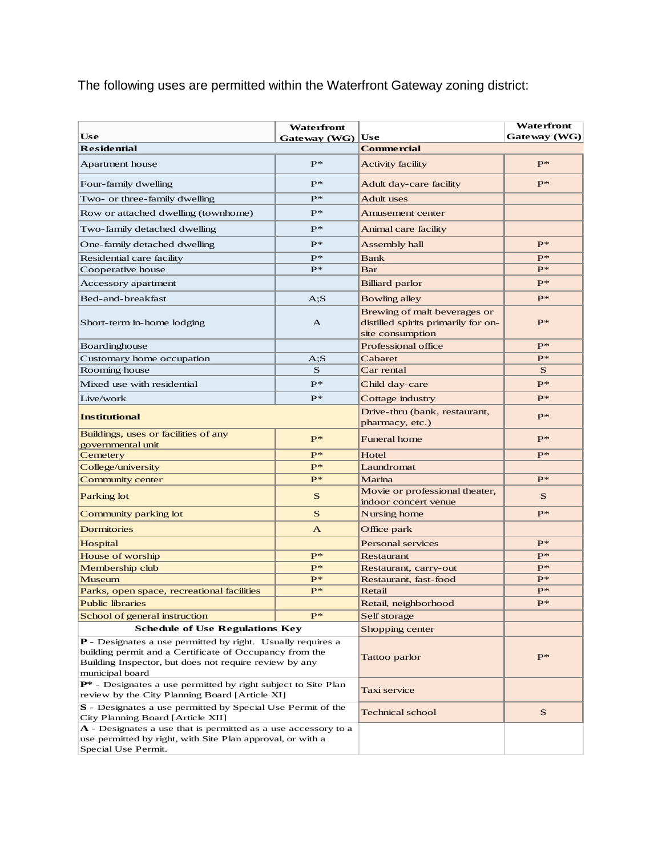The following uses are permitted within the Waterfront Gateway zoning district:

| <b>Use</b>                                                                                                                                                                                                 | Waterfront<br>Gateway $(WG)$ | Use                                                                                     | Waterfront<br>Gateway (WG) |
|------------------------------------------------------------------------------------------------------------------------------------------------------------------------------------------------------------|------------------------------|-----------------------------------------------------------------------------------------|----------------------------|
| <b>Residential</b>                                                                                                                                                                                         |                              | <b>Commercial</b>                                                                       |                            |
| Apartment house                                                                                                                                                                                            | $P*$                         | <b>Activity facility</b>                                                                | $P*$                       |
|                                                                                                                                                                                                            |                              |                                                                                         |                            |
| Four-family dwelling                                                                                                                                                                                       | $P^*$                        | Adult day-care facility                                                                 | $P^*$                      |
| Two- or three-family dwelling                                                                                                                                                                              | $P^*$                        | <b>Adult</b> uses                                                                       |                            |
| Row or attached dwelling (townhome)                                                                                                                                                                        | $P*$                         | <b>Amusement center</b>                                                                 |                            |
| Two-family detached dwelling                                                                                                                                                                               | $P^*$                        | Animal care facility                                                                    |                            |
| One-family detached dwelling                                                                                                                                                                               | $P^*$                        | Assembly hall                                                                           | $P*$                       |
| Residential care facility                                                                                                                                                                                  | $P*$                         | <b>Bank</b>                                                                             | $P^*$                      |
| Cooperative house                                                                                                                                                                                          | $P^*$                        | Bar                                                                                     | $P^*$                      |
| Accessory apartment                                                                                                                                                                                        |                              | <b>Billiard</b> parlor                                                                  | $P^*$                      |
| Bed-and-breakfast                                                                                                                                                                                          | A: S                         | Bowling alley                                                                           | $P^*$                      |
| Short-term in-home lodging                                                                                                                                                                                 | A                            | Brewing of malt beverages or<br>distilled spirits primarily for on-<br>site consumption | $P^*$                      |
| Boardinghouse                                                                                                                                                                                              |                              | Professional office                                                                     | $P^*$                      |
| Customary home occupation                                                                                                                                                                                  | $A$ ;S                       | Cabaret                                                                                 | $P^*$                      |
| Rooming house                                                                                                                                                                                              | S                            | Car rental                                                                              | S                          |
| Mixed use with residential                                                                                                                                                                                 | $P*$                         | Child day-care                                                                          | $P^*$                      |
| Live/work                                                                                                                                                                                                  | $P^*$                        | Cottage industry                                                                        | $P^*$                      |
| <b>Institutional</b>                                                                                                                                                                                       |                              | Drive-thru (bank, restaurant,<br>pharmacy, etc.)                                        | $P^*$                      |
| Buildings, uses or facilities of any<br>governmental unit                                                                                                                                                  | $P*$                         | <b>Funeral home</b>                                                                     | $P^*$                      |
| Cemetery                                                                                                                                                                                                   | $P*$                         | Hotel                                                                                   | $P^*$                      |
| College/university                                                                                                                                                                                         | $P*$                         | Laundromat                                                                              |                            |
| Community center                                                                                                                                                                                           | $P*$                         | Marina                                                                                  | $P^*$                      |
| Parking lot                                                                                                                                                                                                | S                            | Movie or professional theater,<br>indoor concert venue                                  | S                          |
| Community parking lot                                                                                                                                                                                      | $\mathbf S$                  | Nursing home                                                                            | $P^*$                      |
| <b>Dormitories</b>                                                                                                                                                                                         | $\mathbf{A}$                 | Office park                                                                             |                            |
| Hospital                                                                                                                                                                                                   |                              | Personal services                                                                       | $P^*$                      |
| <b>House of worship</b>                                                                                                                                                                                    | $P*$                         | <b>Restaurant</b>                                                                       | $P^*$                      |
| Membership club                                                                                                                                                                                            | $P*$                         | Restaurant, carry-out                                                                   | $P^*$                      |
| Museum                                                                                                                                                                                                     | $P*$                         | Restaurant, fast-food                                                                   | $P*$                       |
| Parks, open space, recreational facilities                                                                                                                                                                 | $P*$                         | Retail                                                                                  | $P*$                       |
| <b>Public libraries</b>                                                                                                                                                                                    |                              | Retail, neighborhood                                                                    | $_{\rm I}$                 |
| School of general instruction                                                                                                                                                                              | $P^*$                        | Self storage                                                                            |                            |
| <b>Schedule of Use Regulations Key</b>                                                                                                                                                                     | Shopping center              |                                                                                         |                            |
| <b>P</b> - Designates a use permitted by right. Usually requires a<br>building permit and a Certificate of Occupancy from the<br>Building Inspector, but does not require review by any<br>municipal board |                              | Tattoo parlor                                                                           | $P^*$                      |
| P* - Designates a use permitted by right subject to Site Plan<br>review by the City Planning Board [Article XI]                                                                                            | Taxi service                 |                                                                                         |                            |
| S - Designates a use permitted by Special Use Permit of the<br>City Planning Board [Article XII]                                                                                                           |                              | Technical school                                                                        | S                          |
| <b>A</b> - Designates a use that is permitted as a use accessory to a<br>use permitted by right, with Site Plan approval, or with a<br>Special Use Permit.                                                 |                              |                                                                                         |                            |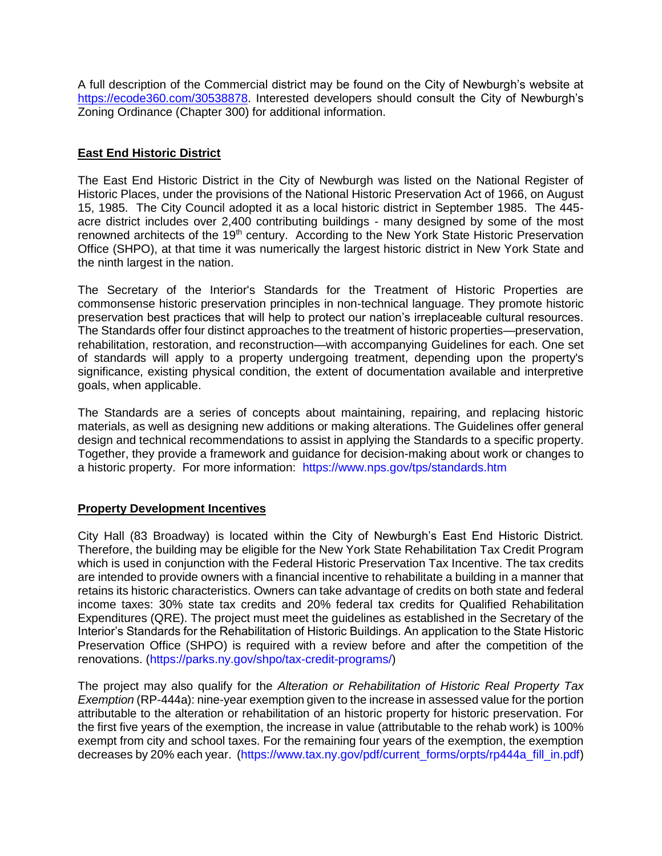A full description of the Commercial district may be found on the City of Newburgh's website at [https://ecode360.com/30538878.](https://ecode360.com/30538878) Interested developers should consult the City of Newburgh's Zoning Ordinance (Chapter 300) for additional information.

#### **East End Historic District**

The East End Historic District in the City of Newburgh was listed on the National Register of Historic Places, under the provisions of the National Historic Preservation Act of 1966, on August 15, 1985. The City Council adopted it as a local historic district in September 1985. The 445 acre district includes over 2,400 contributing buildings - many designed by some of the most renowned architects of the 19<sup>th</sup> century. According to the New York State Historic Preservation Office (SHPO), at that time it was numerically the largest historic district in New York State and the ninth largest in the nation.

The Secretary of the Interior's Standards for the Treatment of Historic Properties are commonsense historic preservation principles in non-technical language. They promote historic preservation best practices that will help to protect our nation's irreplaceable cultural resources. The Standards offer four distinct approaches to the treatment of historic properties—preservation, rehabilitation, restoration, and reconstruction—with accompanying Guidelines for each. One set of standards will apply to a property undergoing treatment, depending upon the property's significance, existing physical condition, the extent of documentation available and interpretive goals, when applicable.

The Standards are a series of concepts about maintaining, repairing, and replacing historic materials, as well as designing new additions or making alterations. The Guidelines offer general design and technical recommendations to assist in applying the Standards to a specific property. Together, they provide a framework and guidance for decision-making about work or changes to a historic property. For more information: <https://www.nps.gov/tps/standards.htm>

### **Property Development Incentives**

City Hall (83 Broadway) is located within the City of Newburgh's East End Historic District. Therefore, the building may be eligible for the New York State Rehabilitation Tax Credit Program which is used in conjunction with the Federal Historic Preservation Tax Incentive. The tax credits are intended to provide owners with a financial incentive to rehabilitate a building in a manner that retains its historic characteristics. Owners can take advantage of credits on both state and federal income taxes: 30% state tax credits and 20% federal tax credits for Qualified Rehabilitation Expenditures (QRE). The project must meet the guidelines as established in the Secretary of the Interior's Standards for the Rehabilitation of Historic Buildings. An application to the State Historic Preservation Office (SHPO) is required with a review before and after the competition of the renovations. [\(https://parks.ny.gov/shpo/tax-credit-programs/\)](https://parks.ny.gov/shpo/tax-credit-programs/)

The project may also qualify for the *Alteration or Rehabilitation of Historic Real Property Tax Exemption* (RP-444a): nine-year exemption given to the increase in assessed value for the portion attributable to the alteration or rehabilitation of an historic property for historic preservation. For the first five years of the exemption, the increase in value (attributable to the rehab work) is 100% exempt from city and school taxes. For the remaining four years of the exemption, the exemption decreases by 20% each year. [\(https://www.tax.ny.gov/pdf/current\\_forms/orpts/rp444a\\_fill\\_in.pdf\)](https://www.tax.ny.gov/pdf/current_forms/orpts/rp444a_fill_in.pdf)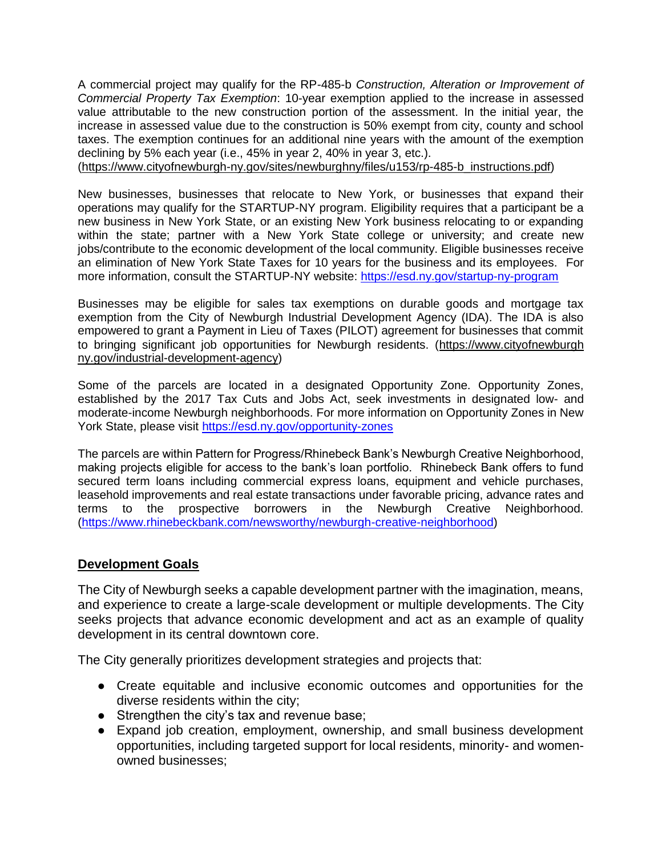A commercial project may qualify for the RP-485-b *Construction, Alteration or Improvement of Commercial Property Tax Exemption*: 10-year exemption applied to the increase in assessed value attributable to the new construction portion of the assessment. In the initial year, the increase in assessed value due to the construction is 50% exempt from city, county and school taxes. The exemption continues for an additional nine years with the amount of the exemption declining by 5% each year (i.e., 45% in year 2, 40% in year 3, etc.).

(https://www.cityofnewburgh-ny.gov/sites/newburghny/files/u153/rp-485-b\_instructions.pdf)

New businesses, businesses that relocate to New York, or businesses that expand their operations may qualify for the STARTUP-NY program. Eligibility requires that a participant be a new business in New York State, or an existing New York business relocating to or expanding within the state; partner with a New York State college or university; and create new jobs/contribute to the economic development of the local community. Eligible businesses receive an elimination of New York State Taxes for 10 years for the business and its employees. For more information, consult the STARTUP-NY website:<https://esd.ny.gov/startup-ny-program>

Businesses may be eligible for sales tax exemptions on durable goods and mortgage tax exemption from the City of Newburgh Industrial Development Agency (IDA). The IDA is also empowered to grant a Payment in Lieu of Taxes (PILOT) agreement for businesses that commit to bringing significant job opportunities for Newburgh residents. (https://www.cityofnewburgh ny.gov/industrial-development-agency)

Some of the parcels are located in a designated Opportunity Zone. Opportunity Zones, established by the 2017 Tax Cuts and Jobs Act, seek investments in designated low- and moderate-income Newburgh neighborhoods. For more information on Opportunity Zones in New York State, please visit<https://esd.ny.gov/opportunity-zones>

The parcels are within Pattern for Progress/Rhinebeck Bank's Newburgh Creative Neighborhood, making projects eligible for access to the bank's loan portfolio. Rhinebeck Bank offers to fund secured term loans including commercial express loans, equipment and vehicle purchases, leasehold improvements and real estate transactions under favorable pricing, advance rates and terms to the prospective borrowers in the Newburgh Creative Neighborhood. [\(https://www.rhinebeckbank.com/newsworthy/newburgh-creative-neighborhood\)](https://www.rhinebeckbank.com/newsworthy/newburgh-creative-neighborhood)

#### **Development Goals**

The City of Newburgh seeks a capable development partner with the imagination, means, and experience to create a large-scale development or multiple developments. The City seeks projects that advance economic development and act as an example of quality development in its central downtown core.

The City generally prioritizes development strategies and projects that:

- Create equitable and inclusive economic outcomes and opportunities for the diverse residents within the city;
- Strengthen the city's tax and revenue base;
- Expand job creation, employment, ownership, and small business development opportunities, including targeted support for local residents, minority- and womenowned businesses;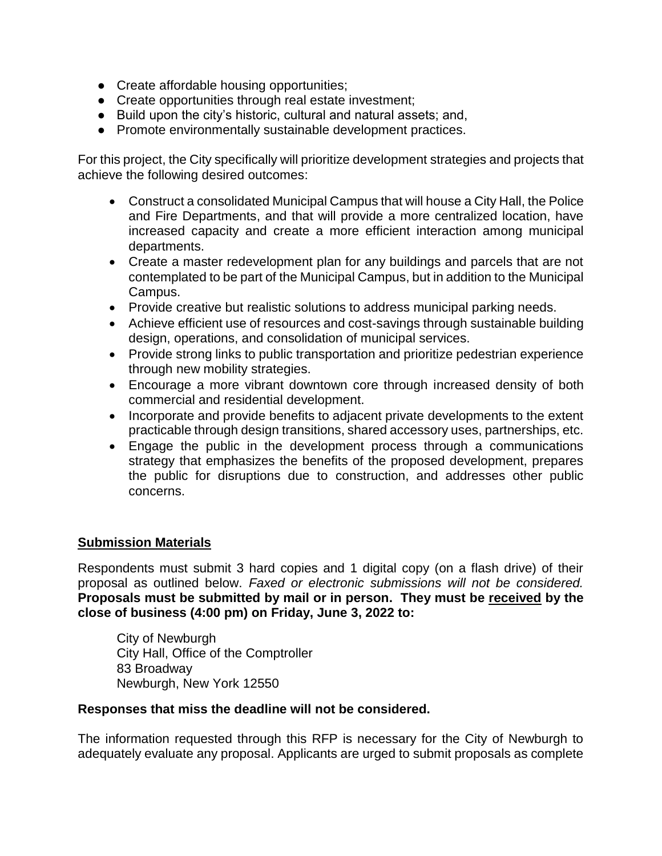- Create affordable housing opportunities;
- Create opportunities through real estate investment;
- Build upon the city's historic, cultural and natural assets; and,
- Promote environmentally sustainable development practices.

For this project, the City specifically will prioritize development strategies and projects that achieve the following desired outcomes:

- Construct a consolidated Municipal Campus that will house a City Hall, the Police and Fire Departments, and that will provide a more centralized location, have increased capacity and create a more efficient interaction among municipal departments.
- Create a master redevelopment plan for any buildings and parcels that are not contemplated to be part of the Municipal Campus, but in addition to the Municipal Campus.
- Provide creative but realistic solutions to address municipal parking needs.
- Achieve efficient use of resources and cost-savings through sustainable building design, operations, and consolidation of municipal services.
- Provide strong links to public transportation and prioritize pedestrian experience through new mobility strategies.
- Encourage a more vibrant downtown core through increased density of both commercial and residential development.
- Incorporate and provide benefits to adjacent private developments to the extent practicable through design transitions, shared accessory uses, partnerships, etc.
- Engage the public in the development process through a communications strategy that emphasizes the benefits of the proposed development, prepares the public for disruptions due to construction, and addresses other public concerns.

### **Submission Materials**

Respondents must submit 3 hard copies and 1 digital copy (on a flash drive) of their proposal as outlined below. *Faxed or electronic submissions will not be considered.*  **Proposals must be submitted by mail or in person. They must be received by the close of business (4:00 pm) on Friday, June 3, 2022 to:**

City of Newburgh City Hall, Office of the Comptroller 83 Broadway Newburgh, New York 12550

### **Responses that miss the deadline will not be considered.**

The information requested through this RFP is necessary for the City of Newburgh to adequately evaluate any proposal. Applicants are urged to submit proposals as complete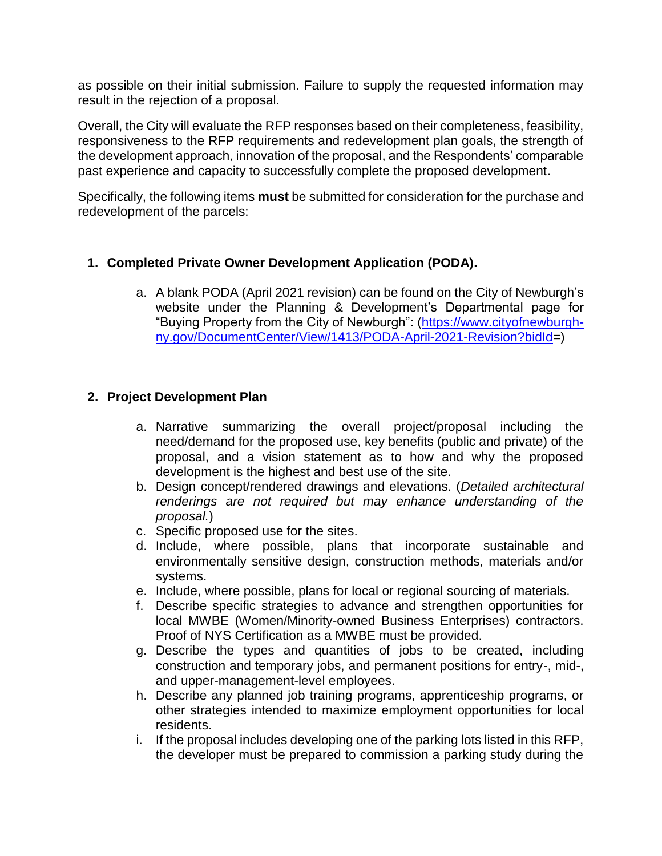as possible on their initial submission. Failure to supply the requested information may result in the rejection of a proposal.

Overall, the City will evaluate the RFP responses based on their completeness, feasibility, responsiveness to the RFP requirements and redevelopment plan goals, the strength of the development approach, innovation of the proposal, and the Respondents' comparable past experience and capacity to successfully complete the proposed development.

Specifically, the following items **must** be submitted for consideration for the purchase and redevelopment of the parcels:

# **1. Completed Private Owner Development Application (PODA).**

a. A blank PODA (April 2021 revision) can be found on the City of Newburgh's website under the Planning & Development's Departmental page for "Buying Property from the City of Newburgh": [\(https://www.cityofnewburgh](https://www.cityofnewburgh-ny.gov/DocumentCenter/View/1413/PODA-April-2021-Revision?bidId)[ny.gov/DocumentCenter/View/1413/PODA-April-2021-Revision?bidId=](https://www.cityofnewburgh-ny.gov/DocumentCenter/View/1413/PODA-April-2021-Revision?bidId))

### **2. Project Development Plan**

- a. Narrative summarizing the overall project/proposal including the need/demand for the proposed use, key benefits (public and private) of the proposal, and a vision statement as to how and why the proposed development is the highest and best use of the site.
- b. Design concept/rendered drawings and elevations. (*Detailed architectural renderings are not required but may enhance understanding of the proposal.*)
- c. Specific proposed use for the sites.
- d. Include, where possible, plans that incorporate sustainable and environmentally sensitive design, construction methods, materials and/or systems.
- e. Include, where possible, plans for local or regional sourcing of materials.
- f. Describe specific strategies to advance and strengthen opportunities for local MWBE (Women/Minority-owned Business Enterprises) contractors. Proof of NYS Certification as a MWBE must be provided.
- g. Describe the types and quantities of jobs to be created, including construction and temporary jobs, and permanent positions for entry-, mid-, and upper-management-level employees.
- h. Describe any planned job training programs, apprenticeship programs, or other strategies intended to maximize employment opportunities for local residents.
- i. If the proposal includes developing one of the parking lots listed in this RFP, the developer must be prepared to commission a parking study during the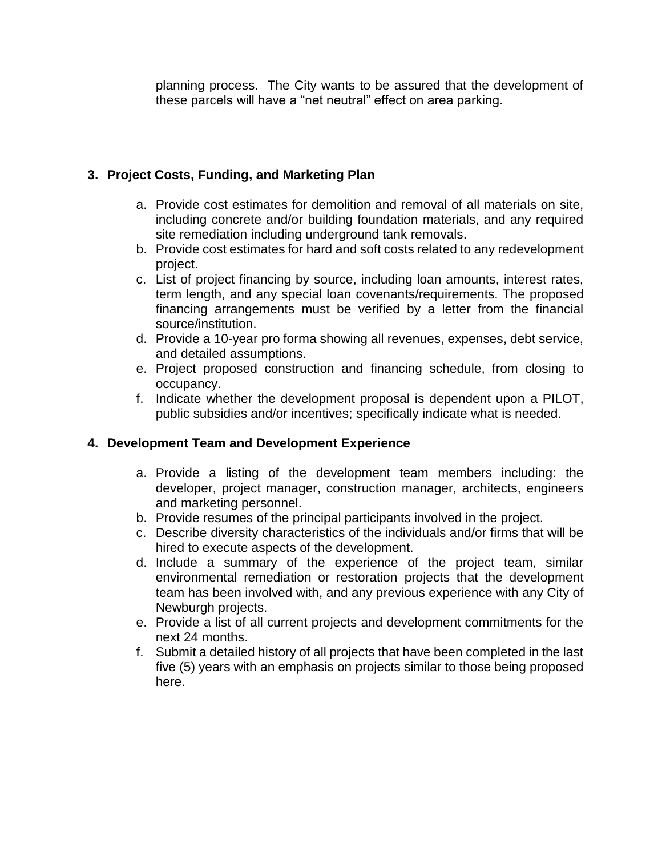planning process. The City wants to be assured that the development of these parcels will have a "net neutral" effect on area parking.

# **3. Project Costs, Funding, and Marketing Plan**

- a. Provide cost estimates for demolition and removal of all materials on site, including concrete and/or building foundation materials, and any required site remediation including underground tank removals.
- b. Provide cost estimates for hard and soft costs related to any redevelopment project.
- c. List of project financing by source, including loan amounts, interest rates, term length, and any special loan covenants/requirements. The proposed financing arrangements must be verified by a letter from the financial source/institution.
- d. Provide a 10-year pro forma showing all revenues, expenses, debt service, and detailed assumptions.
- e. Project proposed construction and financing schedule, from closing to occupancy.
- f. Indicate whether the development proposal is dependent upon a PILOT, public subsidies and/or incentives; specifically indicate what is needed.

# **4. Development Team and Development Experience**

- a. Provide a listing of the development team members including: the developer, project manager, construction manager, architects, engineers and marketing personnel.
- b. Provide resumes of the principal participants involved in the project.
- c. Describe diversity characteristics of the individuals and/or firms that will be hired to execute aspects of the development.
- d. Include a summary of the experience of the project team, similar environmental remediation or restoration projects that the development team has been involved with, and any previous experience with any City of Newburgh projects.
- e. Provide a list of all current projects and development commitments for the next 24 months.
- f. Submit a detailed history of all projects that have been completed in the last five (5) years with an emphasis on projects similar to those being proposed here.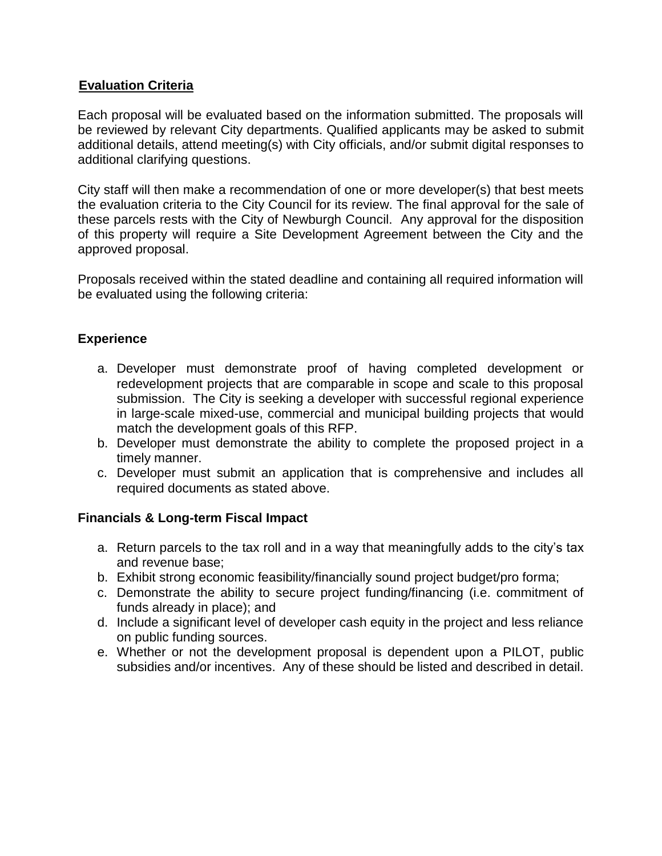### **Evaluation Criteria**

Each proposal will be evaluated based on the information submitted. The proposals will be reviewed by relevant City departments. Qualified applicants may be asked to submit additional details, attend meeting(s) with City officials, and/or submit digital responses to additional clarifying questions.

City staff will then make a recommendation of one or more developer(s) that best meets the evaluation criteria to the City Council for its review. The final approval for the sale of these parcels rests with the City of Newburgh Council. Any approval for the disposition of this property will require a Site Development Agreement between the City and the approved proposal.

Proposals received within the stated deadline and containing all required information will be evaluated using the following criteria:

# **Experience**

- a. Developer must demonstrate proof of having completed development or redevelopment projects that are comparable in scope and scale to this proposal submission. The City is seeking a developer with successful regional experience in large-scale mixed-use, commercial and municipal building projects that would match the development goals of this RFP.
- b. Developer must demonstrate the ability to complete the proposed project in a timely manner.
- c. Developer must submit an application that is comprehensive and includes all required documents as stated above.

### **Financials & Long-term Fiscal Impact**

- a. Return parcels to the tax roll and in a way that meaningfully adds to the city's tax and revenue base;
- b. Exhibit strong economic feasibility/financially sound project budget/pro forma;
- c. Demonstrate the ability to secure project funding/financing (i.e. commitment of funds already in place); and
- d. Include a significant level of developer cash equity in the project and less reliance on public funding sources.
- e. Whether or not the development proposal is dependent upon a PILOT, public subsidies and/or incentives. Any of these should be listed and described in detail.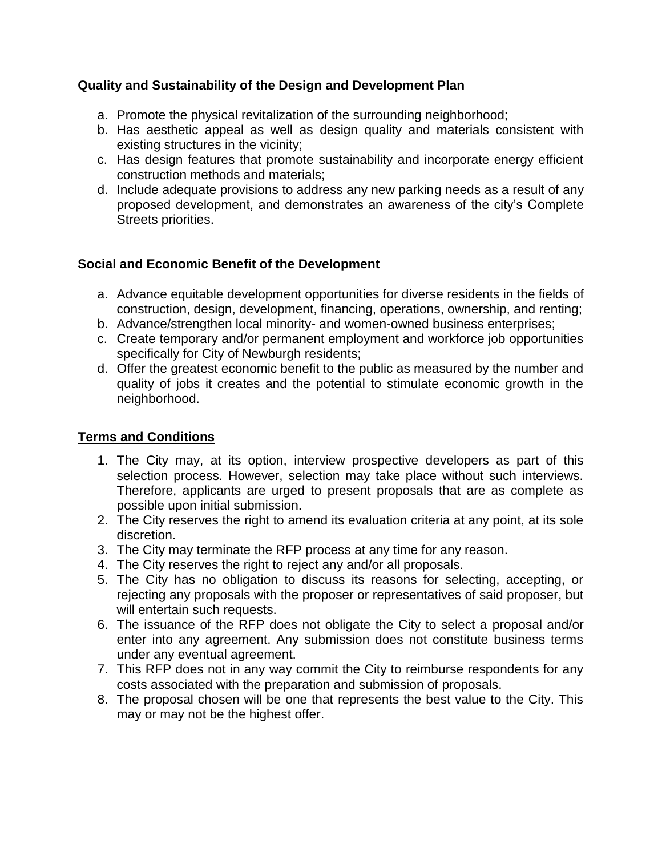### **Quality and Sustainability of the Design and Development Plan**

- a. Promote the physical revitalization of the surrounding neighborhood;
- b. Has aesthetic appeal as well as design quality and materials consistent with existing structures in the vicinity;
- c. Has design features that promote sustainability and incorporate energy efficient construction methods and materials;
- d. Include adequate provisions to address any new parking needs as a result of any proposed development, and demonstrates an awareness of the city's Complete Streets priorities.

### **Social and Economic Benefit of the Development**

- a. Advance equitable development opportunities for diverse residents in the fields of construction, design, development, financing, operations, ownership, and renting;
- b. Advance/strengthen local minority- and women-owned business enterprises;
- c. Create temporary and/or permanent employment and workforce job opportunities specifically for City of Newburgh residents;
- d. Offer the greatest economic benefit to the public as measured by the number and quality of jobs it creates and the potential to stimulate economic growth in the neighborhood.

# **Terms and Conditions**

- 1. The City may, at its option, interview prospective developers as part of this selection process. However, selection may take place without such interviews. Therefore, applicants are urged to present proposals that are as complete as possible upon initial submission.
- 2. The City reserves the right to amend its evaluation criteria at any point, at its sole discretion.
- 3. The City may terminate the RFP process at any time for any reason.
- 4. The City reserves the right to reject any and/or all proposals.
- 5. The City has no obligation to discuss its reasons for selecting, accepting, or rejecting any proposals with the proposer or representatives of said proposer, but will entertain such requests.
- 6. The issuance of the RFP does not obligate the City to select a proposal and/or enter into any agreement. Any submission does not constitute business terms under any eventual agreement.
- 7. This RFP does not in any way commit the City to reimburse respondents for any costs associated with the preparation and submission of proposals.
- 8. The proposal chosen will be one that represents the best value to the City. This may or may not be the highest offer.